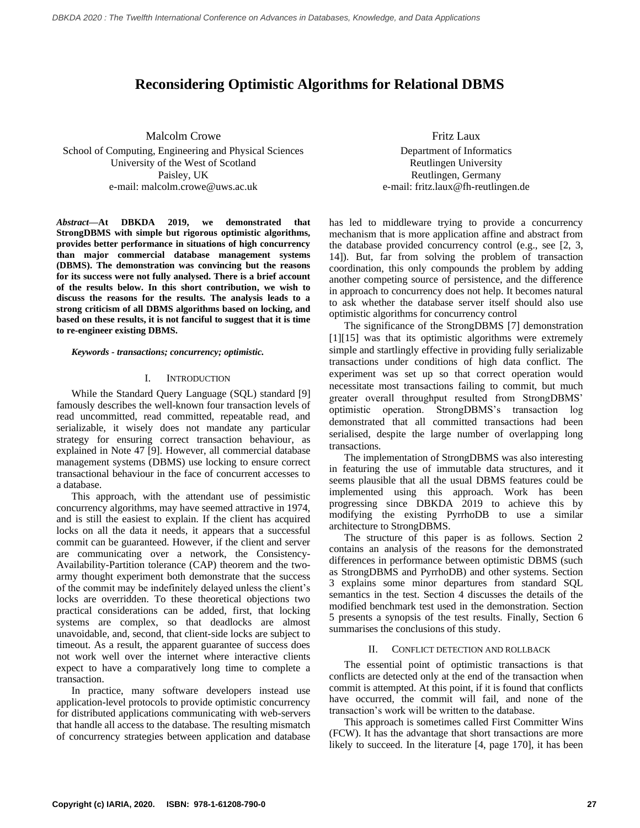# **Reconsidering Optimistic Algorithms for Relational DBMS**

Malcolm Crowe School of Computing, Engineering and Physical Sciences University of the West of Scotland Paisley, UK e-mail: malcolm.crowe@uws.ac.uk

*Abstract***—At DBKDA 2019, we demonstrated that StrongDBMS with simple but rigorous optimistic algorithms, provides better performance in situations of high concurrency than major commercial database management systems (DBMS). The demonstration was convincing but the reasons for its success were not fully analysed. There is a brief account of the results below. In this short contribution, we wish to discuss the reasons for the results. The analysis leads to a strong criticism of all DBMS algorithms based on locking, and based on these results, it is not fanciful to suggest that it is time to re-engineer existing DBMS.**

*Keywords - transactions; concurrency; optimistic.*

### I. INTRODUCTION

While the Standard Query Language (SQL) standard [9] famously describes the well-known four transaction levels of read uncommitted, read committed, repeatable read, and serializable, it wisely does not mandate any particular strategy for ensuring correct transaction behaviour, as explained in Note 47 [9]. However, all commercial database management systems (DBMS) use locking to ensure correct transactional behaviour in the face of concurrent accesses to a database.

This approach, with the attendant use of pessimistic concurrency algorithms, may have seemed attractive in 1974, and is still the easiest to explain. If the client has acquired locks on all the data it needs, it appears that a successful commit can be guaranteed. However, if the client and server are communicating over a network, the Consistency-Availability-Partition tolerance (CAP) theorem and the twoarmy thought experiment both demonstrate that the success of the commit may be indefinitely delayed unless the client's locks are overridden. To these theoretical objections two practical considerations can be added, first, that locking systems are complex, so that deadlocks are almost unavoidable, and, second, that client-side locks are subject to timeout. As a result, the apparent guarantee of success does not work well over the internet where interactive clients expect to have a comparatively long time to complete a transaction.

In practice, many software developers instead use application-level protocols to provide optimistic concurrency for distributed applications communicating with web-servers that handle all access to the database. The resulting mismatch of concurrency strategies between application and database

Fritz Laux Department of Informatics Reutlingen University Reutlingen, Germany e-mail: fritz.laux@fh-reutlingen.de

has led to middleware trying to provide a concurrency mechanism that is more application affine and abstract from the database provided concurrency control (e.g., see [2, 3, 14]). But, far from solving the problem of transaction coordination, this only compounds the problem by adding another competing source of persistence, and the difference in approach to concurrency does not help. It becomes natural to ask whether the database server itself should also use optimistic algorithms for concurrency control

The significance of the StrongDBMS [7] demonstration [1][15] was that its optimistic algorithms were extremely simple and startlingly effective in providing fully serializable transactions under conditions of high data conflict. The experiment was set up so that correct operation would necessitate most transactions failing to commit, but much greater overall throughput resulted from StrongDBMS' optimistic operation. StrongDBMS's transaction log demonstrated that all committed transactions had been serialised, despite the large number of overlapping long transactions.

The implementation of StrongDBMS was also interesting in featuring the use of immutable data structures, and it seems plausible that all the usual DBMS features could be implemented using this approach. Work has been progressing since DBKDA 2019 to achieve this by modifying the existing PyrrhoDB to use a similar architecture to StrongDBMS.

The structure of this paper is as follows. Section 2 contains an analysis of the reasons for the demonstrated differences in performance between optimistic DBMS (such as StrongDBMS and PyrrhoDB) and other systems. Section 3 explains some minor departures from standard SQL semantics in the test. Section 4 discusses the details of the modified benchmark test used in the demonstration. Section 5 presents a synopsis of the test results. Finally, Section 6 summarises the conclusions of this study.

#### II. CONFLICT DETECTION AND ROLLBACK

The essential point of optimistic transactions is that conflicts are detected only at the end of the transaction when commit is attempted. At this point, if it is found that conflicts have occurred, the commit will fail, and none of the transaction's work will be written to the database.

This approach is sometimes called First Committer Wins (FCW). It has the advantage that short transactions are more likely to succeed. In the literature [4, page 170], it has been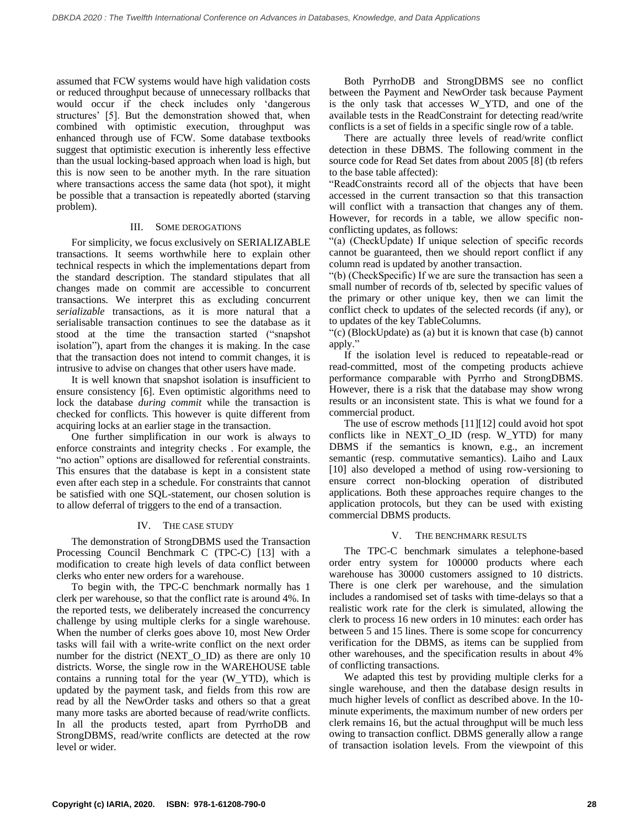assumed that FCW systems would have high validation costs or reduced throughput because of unnecessary rollbacks that would occur if the check includes only 'dangerous structures' [5]. But the demonstration showed that, when combined with optimistic execution, throughput was enhanced through use of FCW. Some database textbooks suggest that optimistic execution is inherently less effective than the usual locking-based approach when load is high, but this is now seen to be another myth. In the rare situation where transactions access the same data (hot spot), it might be possible that a transaction is repeatedly aborted (starving problem).

# III. SOME DEROGATIONS

For simplicity, we focus exclusively on SERIALIZABLE transactions. It seems worthwhile here to explain other technical respects in which the implementations depart from the standard description. The standard stipulates that all changes made on commit are accessible to concurrent transactions. We interpret this as excluding concurrent *serializable* transactions, as it is more natural that a serialisable transaction continues to see the database as it stood at the time the transaction started ("snapshot isolation"), apart from the changes it is making. In the case that the transaction does not intend to commit changes, it is intrusive to advise on changes that other users have made.

It is well known that snapshot isolation is insufficient to ensure consistency [6]. Even optimistic algorithms need to lock the database *during commit* while the transaction is checked for conflicts. This however is quite different from acquiring locks at an earlier stage in the transaction.

One further simplification in our work is always to enforce constraints and integrity checks . For example, the "no action" options are disallowed for referential constraints. This ensures that the database is kept in a consistent state even after each step in a schedule. For constraints that cannot be satisfied with one SQL-statement, our chosen solution is to allow deferral of triggers to the end of a transaction.

# IV. THE CASE STUDY

The demonstration of StrongDBMS used the Transaction Processing Council Benchmark C (TPC-C) [13] with a modification to create high levels of data conflict between clerks who enter new orders for a warehouse.

To begin with, the TPC-C benchmark normally has 1 clerk per warehouse, so that the conflict rate is around 4%. In the reported tests, we deliberately increased the concurrency challenge by using multiple clerks for a single warehouse. When the number of clerks goes above 10, most New Order tasks will fail with a write-write conflict on the next order number for the district (NEXT\_O\_ID) as there are only 10 districts. Worse, the single row in the WAREHOUSE table contains a running total for the year (W\_YTD), which is updated by the payment task, and fields from this row are read by all the NewOrder tasks and others so that a great many more tasks are aborted because of read/write conflicts. In all the products tested, apart from PyrrhoDB and StrongDBMS, read/write conflicts are detected at the row level or wider.

Both PyrrhoDB and StrongDBMS see no conflict between the Payment and NewOrder task because Payment is the only task that accesses W\_YTD, and one of the available tests in the ReadConstraint for detecting read/write conflicts is a set of fields in a specific single row of a table.

There are actually three levels of read/write conflict detection in these DBMS. The following comment in the source code for Read Set dates from about 2005 [8] (tb refers to the base table affected):

"ReadConstraints record all of the objects that have been accessed in the current transaction so that this transaction will conflict with a transaction that changes any of them. However, for records in a table, we allow specific nonconflicting updates, as follows:

"(a) (CheckUpdate) If unique selection of specific records cannot be guaranteed, then we should report conflict if any column read is updated by another transaction.

"(b) (CheckSpecific) If we are sure the transaction has seen a small number of records of tb, selected by specific values of the primary or other unique key, then we can limit the conflict check to updates of the selected records (if any), or to updates of the key TableColumns.

"(c) (BlockUpdate) as (a) but it is known that case (b) cannot apply."

If the isolation level is reduced to repeatable-read or read-committed, most of the competing products achieve performance comparable with Pyrrho and StrongDBMS. However, there is a risk that the database may show wrong results or an inconsistent state. This is what we found for a commercial product.

The use of escrow methods [11][12] could avoid hot spot conflicts like in NEXT\_O\_ID (resp. W\_YTD) for many DBMS if the semantics is known, e.g., an increment semantic (resp. commutative semantics). Laiho and Laux [10] also developed a method of using row-versioning to ensure correct non-blocking operation of distributed applications. Both these approaches require changes to the application protocols, but they can be used with existing commercial DBMS products.

# V. THE BENCHMARK RESULTS

The TPC-C benchmark simulates a telephone-based order entry system for 100000 products where each warehouse has 30000 customers assigned to 10 districts. There is one clerk per warehouse, and the simulation includes a randomised set of tasks with time-delays so that a realistic work rate for the clerk is simulated, allowing the clerk to process 16 new orders in 10 minutes: each order has between 5 and 15 lines. There is some scope for concurrency verification for the DBMS, as items can be supplied from other warehouses, and the specification results in about 4% of conflicting transactions.

We adapted this test by providing multiple clerks for a single warehouse, and then the database design results in much higher levels of conflict as described above. In the 10 minute experiments, the maximum number of new orders per clerk remains 16, but the actual throughput will be much less owing to transaction conflict. DBMS generally allow a range of transaction isolation levels. From the viewpoint of this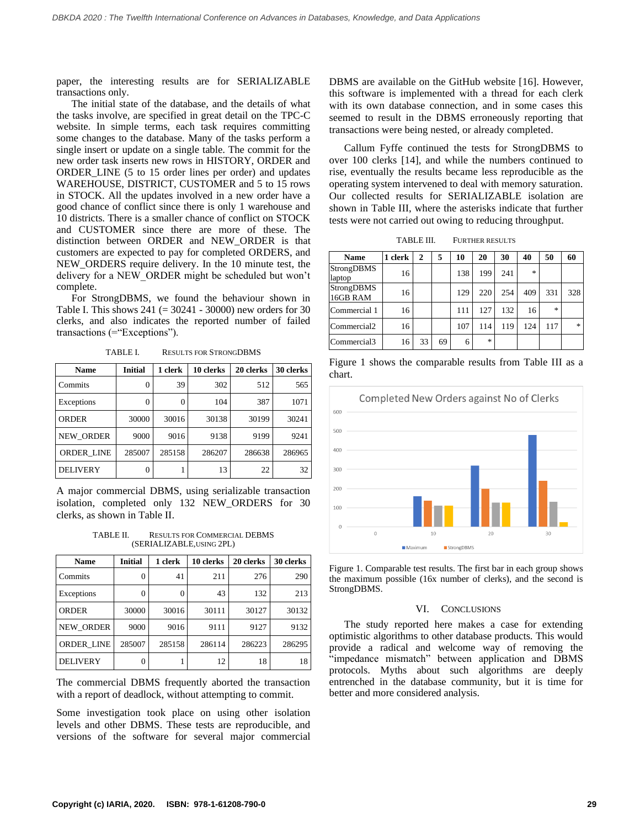paper, the interesting results are for SERIALIZABLE transactions only.

The initial state of the database, and the details of what the tasks involve, are specified in great detail on the TPC-C website. In simple terms, each task requires committing some changes to the database. Many of the tasks perform a single insert or update on a single table. The commit for the new order task inserts new rows in HISTORY, ORDER and ORDER\_LINE (5 to 15 order lines per order) and updates WAREHOUSE, DISTRICT, CUSTOMER and 5 to 15 rows in STOCK. All the updates involved in a new order have a good chance of conflict since there is only 1 warehouse and 10 districts. There is a smaller chance of conflict on STOCK and CUSTOMER since there are more of these. The distinction between ORDER and NEW\_ORDER is that customers are expected to pay for completed ORDERS, and NEW\_ORDERS require delivery. In the 10 minute test, the delivery for a NEW\_ORDER might be scheduled but won't complete.

For StrongDBMS, we found the behaviour shown in Table I. This shows  $241 (= 30241 - 30000)$  new orders for 30 clerks, and also indicates the reported number of failed transactions (="Exceptions").

TABLE I. RESULTS FOR STRONGDBMS

| <b>Name</b>      | <b>Initial</b> | 1 clerk  | 10 clerks | 20 clerks | 30 clerks |
|------------------|----------------|----------|-----------|-----------|-----------|
| Commits          | $\Omega$       | 39       | 302       | 512       | 565       |
| Exceptions       | $\Omega$       | $\theta$ | 104       | 387       | 1071      |
| ORDER            | 30000          | 30016    | 30138     | 30199     | 30241     |
| <b>NEW ORDER</b> | 9000           | 9016     | 9138      | 9199      | 9241      |
| ORDER LINE       | 285007         | 285158   | 286207    | 286638    | 286965    |
| <b>DELIVERY</b>  | $\Omega$       |          | 13        | 22        | 32        |

A major commercial DBMS, using serializable transaction isolation, completed only 132 NEW\_ORDERS for 30 clerks, as shown in Table II.

TABLE II. RESULTS FOR COMMERCIAL DEBMS (SERIALIZABLE,USING 2PL)

| <b>Name</b>       | <b>Initial</b> | 1 clerk | 10 clerks | 20 clerks | 30 clerks |
|-------------------|----------------|---------|-----------|-----------|-----------|
| Commits           | 0              | 41      | 211       | 276       | 290       |
| Exceptions        | 0              | 0       | 43        | 132       | 213       |
| <b>ORDER</b>      | 30000          | 30016   | 30111     | 30127     | 30132     |
| <b>NEW ORDER</b>  | 9000           | 9016    | 9111      | 9127      | 9132      |
| <b>ORDER LINE</b> | 285007         | 285158  | 286114    | 286223    | 286295    |
| <b>DELIVERY</b>   | $\Omega$       |         | 12        | 18        | 18        |

The commercial DBMS frequently aborted the transaction with a report of deadlock, without attempting to commit.

Some investigation took place on using other isolation levels and other DBMS. These tests are reproducible, and versions of the software for several major commercial DBMS are available on the GitHub website [16]. However, this software is implemented with a thread for each clerk with its own database connection, and in some cases this seemed to result in the DBMS erroneously reporting that transactions were being nested, or already completed.

Callum Fyffe continued the tests for StrongDBMS to over 100 clerks [14], and while the numbers continued to rise, eventually the results became less reproducible as the operating system intervened to deal with memory saturation. Our collected results for SERIALIZABLE isolation are shown in Table III, where the asterisks indicate that further tests were not carried out owing to reducing throughput.

| TABLE III. | <b>FURTHER RESULTS</b> |  |
|------------|------------------------|--|
|            |                        |  |

| <b>Name</b>            | 1 clerk | 2  | 5  | 10  | 20               | 30  | 40                                | 50  | 60             |
|------------------------|---------|----|----|-----|------------------|-----|-----------------------------------|-----|----------------|
| StrongDBMS<br>laptop   | 16      |    |    | 138 | 199              | 241 | $\frac{d\mathbf{x}}{d\mathbf{x}}$ |     |                |
| StrongDBMS<br>16GB RAM | 16      |    |    | 129 | 220              | 254 | 409                               | 331 | 328            |
| Commercial 1           | 16      |    |    | 111 | 127              | 132 | 16                                | $*$ |                |
| Commercial2            | 16      |    |    | 107 | 114              | 119 | 124                               | 117 | $\frac{1}{26}$ |
| Commercial3            | 16      | 33 | 69 | 6   | $\frac{1}{2\pi}$ |     |                                   |     |                |

Figure 1 shows the comparable results from Table III as a chart.



Figure 1. Comparable test results. The first bar in each group shows the maximum possible (16x number of clerks), and the second is StrongDBMS.

#### VI. CONCLUSIONS

The study reported here makes a case for extending optimistic algorithms to other database products. This would provide a radical and welcome way of removing the "impedance mismatch" between application and DBMS protocols. Myths about such algorithms are deeply entrenched in the database community, but it is time for better and more considered analysis.